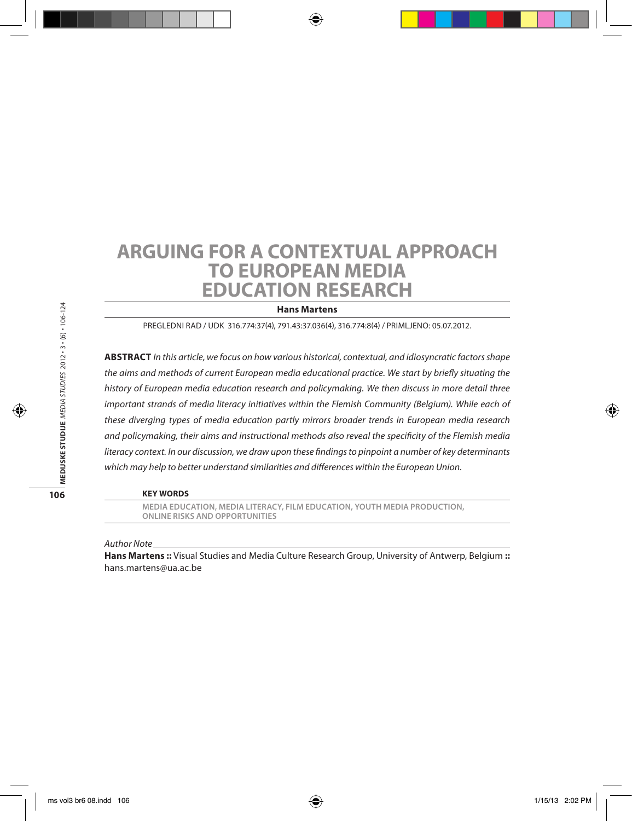## **Arguing for a Contextual Approach to European Media Education Research**

**Hans Martens**

Pregledni rad / UDK 316.774:37(4), 791.43:37.036(4), 316.774:8(4) / Primljeno: 05.07.2012.

**Abstract** *In this article, we focus on how various historical, contextual, and idiosyncratic factors shape the aims and methods of current European media educational practice. We start by briefly situating the history of European media education research and policymaking. We then discuss in more detail three important strands of media literacy initiatives within the Flemish Community (Belgium). While each of these diverging types of media education partly mirrors broader trends in European media research and policymaking, their aims and instructional methods also reveal the specificity of the Flemish media literacy context. In our discussion, we draw upon these findings to pinpoint a number of key determinants which may help to better understand similarities and differences within the European Union.*

#### **Key words**

**media education, media literacy, film education, youth media production, online risks and opportunities**

*Author Note*

**Hans Martens ::** Visual Studies and Media Culture Research Group, University of Antwerp, Belgium **::** hans.martens@ua.ac.be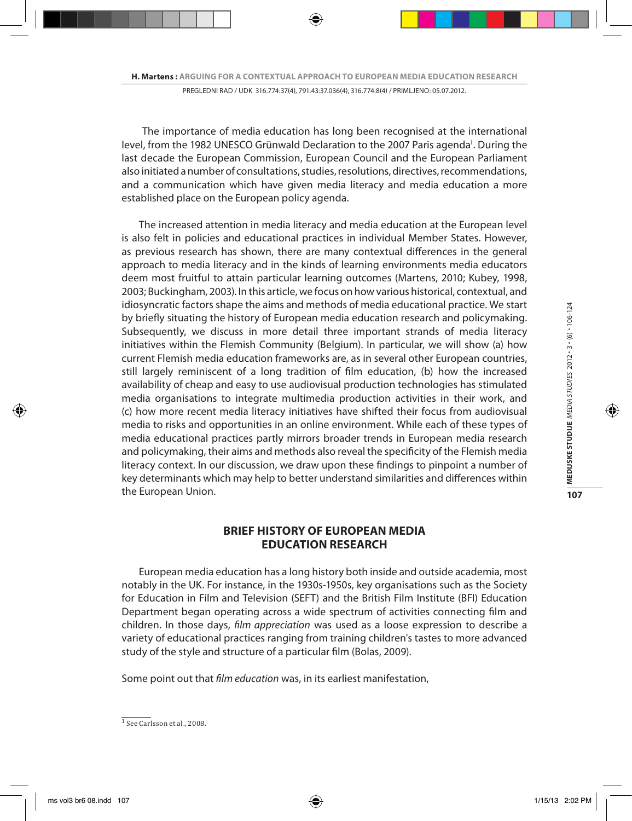The importance of media education has long been recognised at the international level, from the 1982 UNESCO Grünwald Declaration to the 2007 Paris agenda<sup>1</sup>. During the last decade the European Commission, European Council and the European Parliament also initiated a number of consultations, studies, resolutions, directives, recommendations, and a communication which have given media literacy and media education a more established place on the European policy agenda.

The increased attention in media literacy and media education at the European level is also felt in policies and educational practices in individual Member States. However, as previous research has shown, there are many contextual differences in the general approach to media literacy and in the kinds of learning environments media educators deem most fruitful to attain particular learning outcomes (Martens, 2010; Kubey, 1998, 2003; Buckingham, 2003). In this article, we focus on how various historical, contextual, and idiosyncratic factors shape the aims and methods of media educational practice. We start by briefly situating the history of European media education research and policymaking. Subsequently, we discuss in more detail three important strands of media literacy initiatives within the Flemish Community (Belgium). In particular, we will show (a) how current Flemish media education frameworks are, as in several other European countries, still largely reminiscent of a long tradition of film education, (b) how the increased availability of cheap and easy to use audiovisual production technologies has stimulated media organisations to integrate multimedia production activities in their work, and (c) how more recent media literacy initiatives have shifted their focus from audiovisual media to risks and opportunities in an online environment. While each of these types of media educational practices partly mirrors broader trends in European media research and policymaking, their aims and methods also reveal the specificity of the Flemish media literacy context. In our discussion, we draw upon these findings to pinpoint a number of key determinants which may help to better understand similarities and differences within the European Union.

## **BRIEF HISTORY OF EUROPEAN MEDIA EDUCATION RESEARCH**

European media education has a long history both inside and outside academia, most notably in the UK. For instance, in the 1930s-1950s, key organisations such as the Society for Education in Film and Television (SEFT) and the British Film Institute (BFI) Education Department began operating across a wide spectrum of activities connecting film and children. In those days, *film appreciation* was used as a loose expression to describe a variety of educational practices ranging from training children's tastes to more advanced study of the style and structure of a particular film (Bolas, 2009).

Some point out that *film education* was, in its earliest manifestation,

 $1$  See Carlsson et al., 2008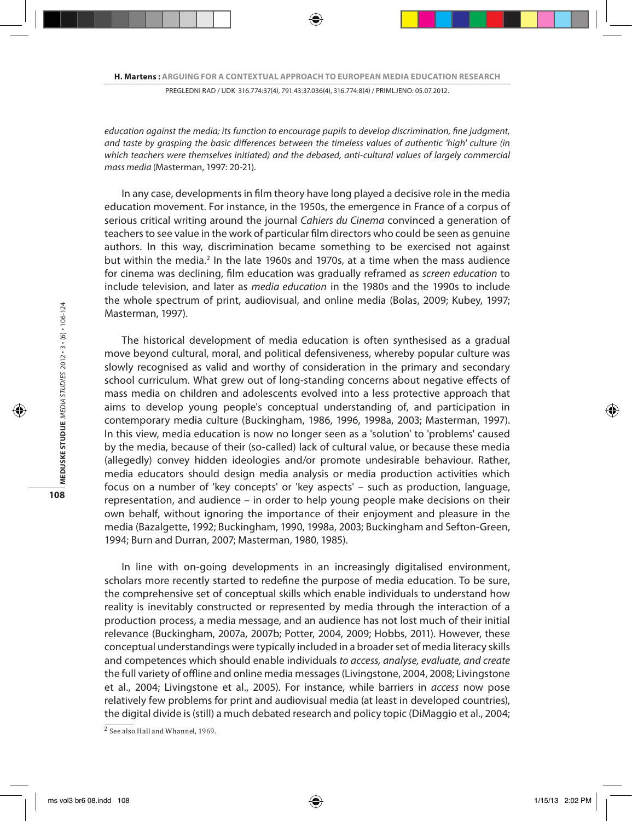*education against the media; its function to encourage pupils to develop discrimination, fine judgment, and taste by grasping the basic differences between the timeless values of authentic 'high' culture (in which teachers were themselves initiated) and the debased, anti-cultural values of largely commercial mass media* (Masterman, 1997: 20-21).

In any case, developments in film theory have long played a decisive role in the media education movement. For instance, in the 1950s, the emergence in France of a corpus of serious critical writing around the journal *Cahiers du Cinema* convinced a generation of teachers to see value in the work of particular film directors who could be seen as genuine authors. In this way, discrimination became something to be exercised not against but within the media.<sup>2</sup> In the late 1960s and 1970s, at a time when the mass audience for cinema was declining, film education was gradually reframed as *screen education* to include television, and later as *media education* in the 1980s and the 1990s to include the whole spectrum of print, audiovisual, and online media (Bolas, 2009; Kubey, 1997; Masterman, 1997).

The historical development of media education is often synthesised as a gradual move beyond cultural, moral, and political defensiveness, whereby popular culture was slowly recognised as valid and worthy of consideration in the primary and secondary school curriculum. What grew out of long-standing concerns about negative effects of mass media on children and adolescents evolved into a less protective approach that aims to develop young people's conceptual understanding of, and participation in contemporary media culture (Buckingham, 1986, 1996, 1998a, 2003; Masterman, 1997). In this view, media education is now no longer seen as a 'solution' to 'problems' caused by the media, because of their (so-called) lack of cultural value, or because these media (allegedly) convey hidden ideologies and/or promote undesirable behaviour. Rather, media educators should design media analysis or media production activities which focus on a number of 'key concepts' or 'key aspects' – such as production, language, representation, and audience – in order to help young people make decisions on their own behalf, without ignoring the importance of their enjoyment and pleasure in the media (Bazalgette, 1992; Buckingham, 1990, 1998a, 2003; Buckingham and Sefton-Green, 1994; Burn and Durran, 2007; Masterman, 1980, 1985).

In line with on-going developments in an increasingly digitalised environment, scholars more recently started to redefine the purpose of media education. To be sure, the comprehensive set of conceptual skills which enable individuals to understand how reality is inevitably constructed or represented by media through the interaction of a production process, a media message, and an audience has not lost much of their initial relevance (Buckingham, 2007a, 2007b; Potter, 2004, 2009; Hobbs, 2011). However, these conceptual understandings were typically included in a broader set of media literacy skills and competences which should enable individuals *to access, analyse, evaluate, and create* the full variety of offline and online media messages (Livingstone, 2004, 2008; Livingstone et al., 2004; Livingstone et al., 2005). For instance, while barriers in *access* now pose relatively few problems for print and audiovisual media (at least in developed countries), the digital divide is (still) a much debated research and policy topic (DiMaggio et al., 2004;

 $\frac{2}{3}$  See also Hall and Whannel, 1969.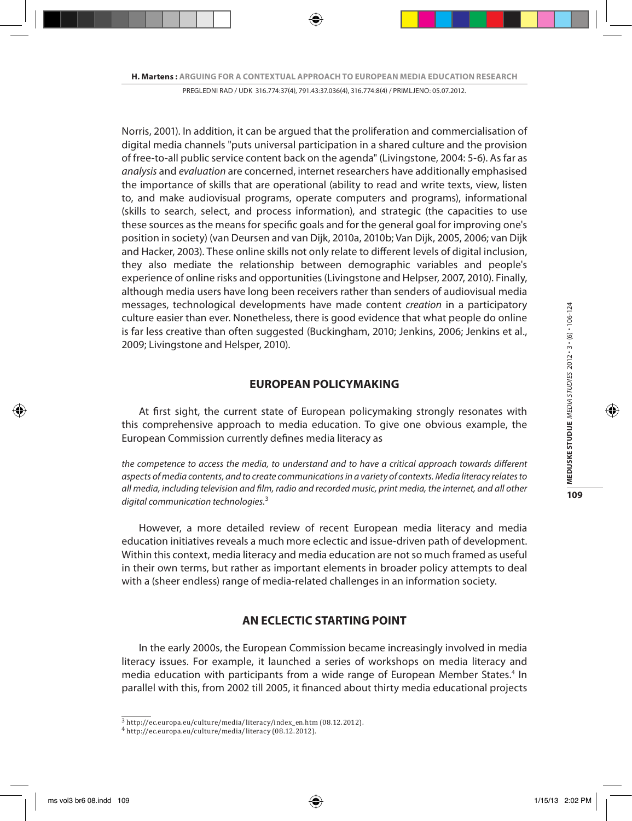Norris, 2001). In addition, it can be argued that the proliferation and commercialisation of digital media channels "puts universal participation in a shared culture and the provision of free-to-all public service content back on the agenda" (Livingstone, 2004: 5-6). As far as *analysis* and *evaluation* are concerned, internet researchers have additionally emphasised the importance of skills that are operational (ability to read and write texts, view, listen to, and make audiovisual programs, operate computers and programs), informational (skills to search, select, and process information), and strategic (the capacities to use these sources as the means for specific goals and for the general goal for improving one's position in society) (van Deursen and van Dijk, 2010a, 2010b; Van Dijk, 2005, 2006; van Dijk and Hacker, 2003). These online skills not only relate to different levels of digital inclusion, they also mediate the relationship between demographic variables and people's experience of online risks and opportunities (Livingstone and Helpser, 2007, 2010). Finally, although media users have long been receivers rather than senders of audiovisual media messages, technological developments have made content *creation* in a participatory culture easier than ever. Nonetheless, there is good evidence that what people do online is far less creative than often suggested (Buckingham, 2010; Jenkins, 2006; Jenkins et al., 2009; Livingstone and Helsper, 2010).

#### **EUROPEAN POLICYMAKING**

At first sight, the current state of European policymaking strongly resonates with this comprehensive approach to media education. To give one obvious example, the European Commission currently defines media literacy as

*the competence to access the media, to understand and to have a critical approach towards different aspects of media contents, and to create communications in a variety of contexts. Media literacy relates to all media, including television and film, radio and recorded music, print media, the internet, and all other digital communication technologies.*<sup>3</sup>

However, a more detailed review of recent European media literacy and media education initiatives reveals a much more eclectic and issue-driven path of development. Within this context, media literacy and media education are not so much framed as useful in their own terms, but rather as important elements in broader policy attempts to deal with a (sheer endless) range of media-related challenges in an information society.

## **AN ECLECTIC STARTING POINT**

In the early 2000s, the European Commission became increasingly involved in media literacy issues. For example, it launched a series of workshops on media literacy and media education with participants from a wide range of European Member States.<sup>4</sup> In parallel with this, from 2002 till 2005, it financed about thirty media educational projects

<sup>3</sup> http://ec.europa.eu/culture/media/literacy/index\_en.htm (08.12.2012).

<sup>4</sup> http://ec.europa.eu/culture/media/literacy (08.12.2012).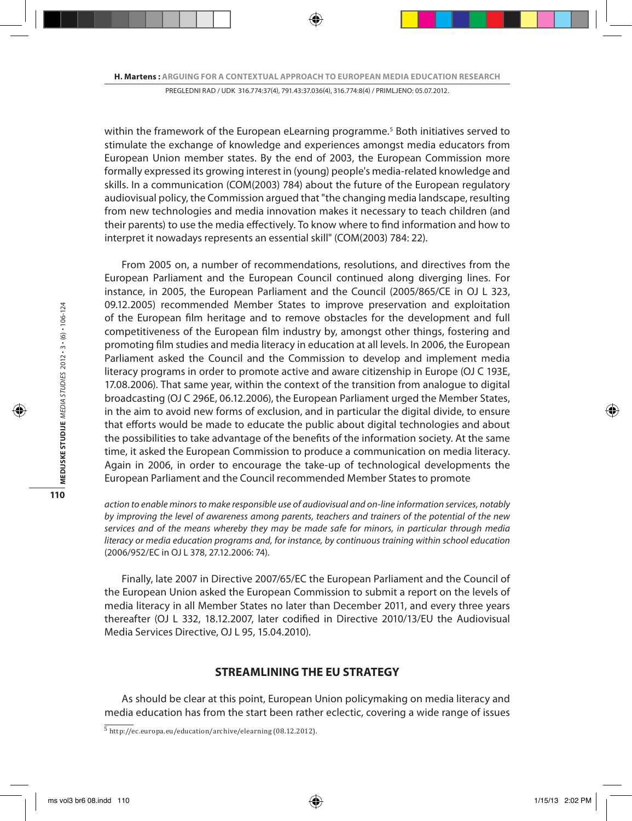within the framework of the European eLearning programme.<sup>5</sup> Both initiatives served to stimulate the exchange of knowledge and experiences amongst media educators from European Union member states. By the end of 2003, the European Commission more formally expressed its growing interest in (young) people's media-related knowledge and skills. In a communication (COM(2003) 784) about the future of the European regulatory audiovisual policy, the Commission argued that "the changing media landscape, resulting from new technologies and media innovation makes it necessary to teach children (and their parents) to use the media effectively. To know where to find information and how to interpret it nowadays represents an essential skill" (COM(2003) 784: 22).

From 2005 on, a number of recommendations, resolutions, and directives from the European Parliament and the European Council continued along diverging lines. For instance, in 2005, the European Parliament and the Council (2005/865/CE in OJ L 323, 09.12.2005) recommended Member States to improve preservation and exploitation of the European film heritage and to remove obstacles for the development and full competitiveness of the European film industry by, amongst other things, fostering and promoting film studies and media literacy in education at all levels. In 2006, the European Parliament asked the Council and the Commission to develop and implement media literacy programs in order to promote active and aware citizenship in Europe (OJ C 193E, 17.08.2006). That same year, within the context of the transition from analogue to digital broadcasting (OJ C 296E, 06.12.2006), the European Parliament urged the Member States, in the aim to avoid new forms of exclusion, and in particular the digital divide, to ensure that efforts would be made to educate the public about digital technologies and about the possibilities to take advantage of the benefits of the information society. At the same time, it asked the European Commission to produce a communication on media literacy. Again in 2006, in order to encourage the take-up of technological developments the European Parliament and the Council recommended Member States to promote

*action to enable minors to make responsible use of audiovisual and on-line information services, notably by improving the level of awareness among parents, teachers and trainers of the potential of the new services and of the means whereby they may be made safe for minors, in particular through media literacy or media education programs and, for instance, by continuous training within school education*  (2006/952/EC in OJ L 378, 27.12.2006: 74).

Finally, late 2007 in Directive 2007/65/EC the European Parliament and the Council of the European Union asked the European Commission to submit a report on the levels of media literacy in all Member States no later than December 2011, and every three years thereafter (OJ L 332, 18.12.2007, later codified in Directive 2010/13/EU the Audiovisual Media Services Directive, OJ L 95, 15.04.2010).

## **STREAMLINING THE EU STRATEGY**

As should be clear at this point, European Union policymaking on media literacy and media education has from the start been rather eclectic, covering a wide range of issues

<sup>5</sup> http://ec.europa.eu/education/archive/elearning (08.12.2012).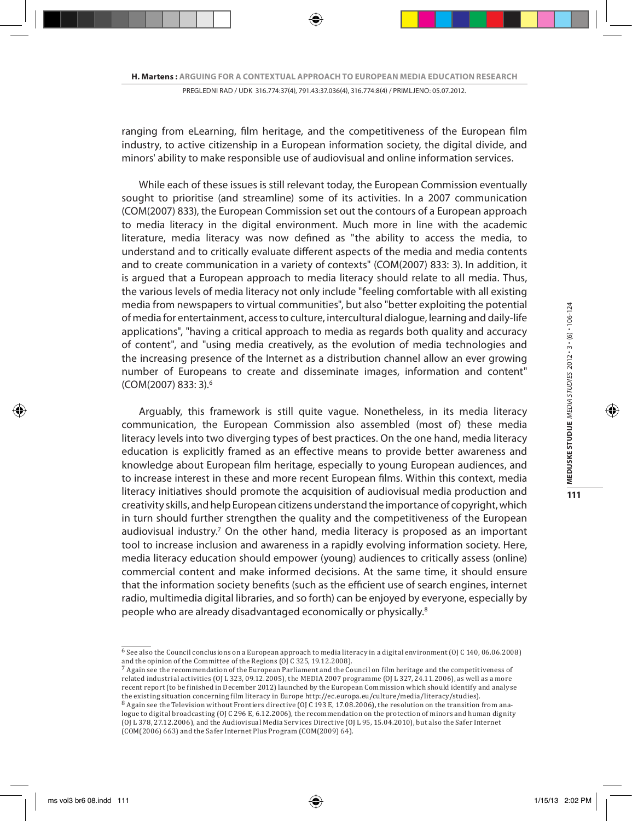ranging from eLearning, film heritage, and the competitiveness of the European film industry, to active citizenship in a European information society, the digital divide, and minors' ability to make responsible use of audiovisual and online information services.

While each of these issues is still relevant today, the European Commission eventually sought to prioritise (and streamline) some of its activities. In a 2007 communication (COM(2007) 833), the European Commission set out the contours of a European approach to media literacy in the digital environment. Much more in line with the academic literature, media literacy was now defined as "the ability to access the media, to understand and to critically evaluate different aspects of the media and media contents and to create communication in a variety of contexts" (COM(2007) 833: 3). In addition, it is argued that a European approach to media literacy should relate to all media. Thus, the various levels of media literacy not only include "feeling comfortable with all existing media from newspapers to virtual communities", but also "better exploiting the potential of media for entertainment, access to culture, intercultural dialogue, learning and daily-life applications", "having a critical approach to media as regards both quality and accuracy of content", and "using media creatively, as the evolution of media technologies and the increasing presence of the Internet as a distribution channel allow an ever growing number of Europeans to create and disseminate images, information and content" (COM(2007) 833: 3).6

Arguably, this framework is still quite vague. Nonetheless, in its media literacy communication, the European Commission also assembled (most of) these media literacy levels into two diverging types of best practices. On the one hand, media literacy education is explicitly framed as an effective means to provide better awareness and knowledge about European film heritage, especially to young European audiences, and to increase interest in these and more recent European films. Within this context, media literacy initiatives should promote the acquisition of audiovisual media production and creativity skills, and help European citizens understand the importance of copyright, which in turn should further strengthen the quality and the competitiveness of the European audiovisual industry.<sup>7</sup> On the other hand, media literacy is proposed as an important tool to increase inclusion and awareness in a rapidly evolving information society. Here, media literacy education should empower (young) audiences to critically assess (online) commercial content and make informed decisions. At the same time, it should ensure that the information society benefits (such as the efficient use of search engines, internet radio, multimedia digital libraries, and so forth) can be enjoyed by everyone, especially by people who are already disadvantaged economically or physically.8

 $\overline{6}$  See also the Council conclusions on a European approach to media literacy in a digital environment (OJ C 140, 06.06.2008)

and the opinion of the Committee of the Regions (OJ C 325, 19.12.2008). 7 Again see the recommendation of the European Parliament and the Council on film heritage and the competitiveness of related industrial activities (OJ L 323, 09.12.2005), the MEDIA 2007 programme (OJ L 327, 24.11.2006), as well as a more recent report (to be finished in December 2012) launched by the European Commission which should identify and analyse the existing situation concerning film literacy in Europe http://ec.europa.eu/culture/media/literacy/studies).

<sup>&</sup>lt;sup>8</sup> Again see the Television without Frontiers directive (OJ C 193 E, 17.08.2006), the resolution on the transition from analogue to digital broadcasting (OJ C 296 E, 6.12.2006), the recommendation on the protection of minors and human dignity (OJ L 378, 27.12.2006), and the Audiovisual Media Services Directive (OJ L 95, 15.04.2010), but also the Safer Internet (COM(2006) 663) and the Safer Internet Plus Program (COM(2009) 64).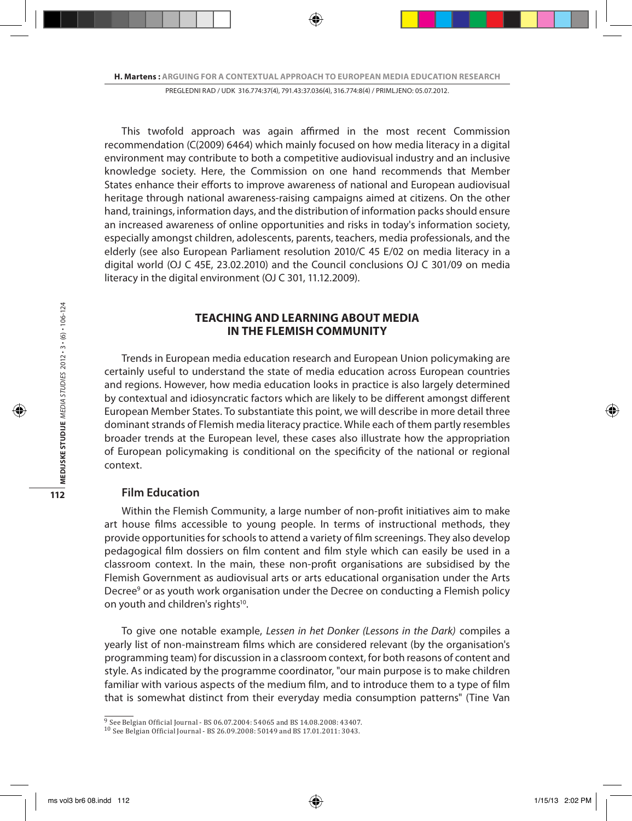This twofold approach was again affirmed in the most recent Commission recommendation (C(2009) 6464) which mainly focused on how media literacy in a digital environment may contribute to both a competitive audiovisual industry and an inclusive knowledge society. Here, the Commission on one hand recommends that Member States enhance their efforts to improve awareness of national and European audiovisual heritage through national awareness-raising campaigns aimed at citizens. On the other hand, trainings, information days, and the distribution of information packs should ensure an increased awareness of online opportunities and risks in today's information society, especially amongst children, adolescents, parents, teachers, media professionals, and the elderly (see also European Parliament resolution 2010/C 45 E/02 on media literacy in a digital world (OJ C 45E, 23.02.2010) and the Council conclusions OJ C 301/09 on media literacy in the digital environment (OJ C 301, 11.12.2009).

## **TEACHING AND LEARNING ABOUT MEDIA IN THE FLEMISH COMMUNITY**

Trends in European media education research and European Union policymaking are certainly useful to understand the state of media education across European countries and regions. However, how media education looks in practice is also largely determined by contextual and idiosyncratic factors which are likely to be different amongst different European Member States. To substantiate this point, we will describe in more detail three dominant strands of Flemish media literacy practice. While each of them partly resembles broader trends at the European level, these cases also illustrate how the appropriation of European policymaking is conditional on the specificity of the national or regional context.

### **Film Education**

Within the Flemish Community, a large number of non-profit initiatives aim to make art house films accessible to young people. In terms of instructional methods, they provide opportunities for schools to attend a variety of film screenings. They also develop pedagogical film dossiers on film content and film style which can easily be used in a classroom context. In the main, these non-profit organisations are subsidised by the Flemish Government as audiovisual arts or arts educational organisation under the Arts Decree<sup>9</sup> or as youth work organisation under the Decree on conducting a Flemish policy on youth and children's rights<sup>10</sup>.

To give one notable example, *Lessen in het Donker (Lessons in the Dark)* compiles a yearly list of non-mainstream films which are considered relevant (by the organisation's programming team) for discussion in a classroom context, for both reasons of content and style. As indicated by the programme coordinator, "our main purpose is to make children familiar with various aspects of the medium film, and to introduce them to a type of film that is somewhat distinct from their everyday media consumption patterns" (Tine Van

<sup>9</sup> See Belgian Official Journal - BS 06.07.2004: 54065 and BS 14.08.2008: 43407.

<sup>10</sup> See Belgian Official Journal - BS 26.09.2008: 50149 and BS 17.01.2011: 3043.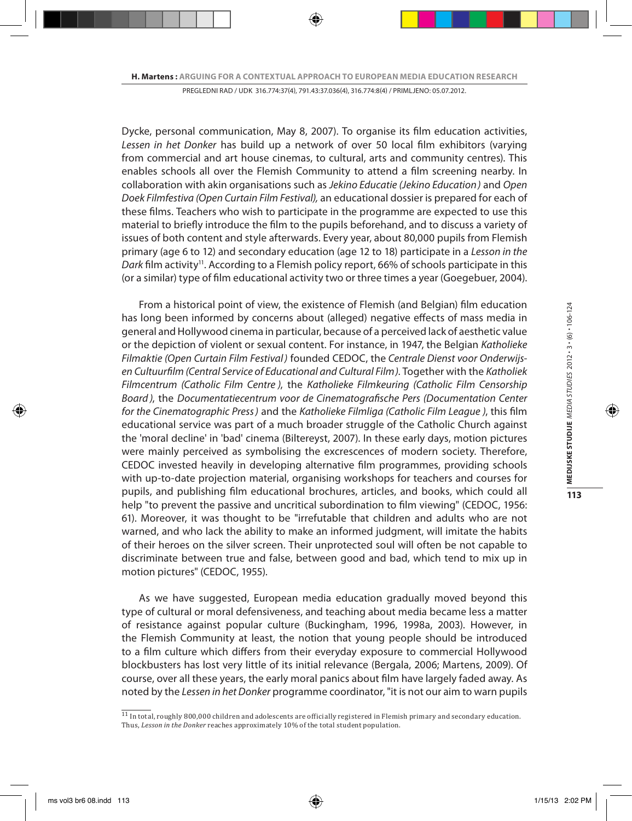Dycke, personal communication, May 8, 2007). To organise its film education activities, *Lessen in het Donker* has build up a network of over 50 local film exhibitors (varying from commercial and art house cinemas, to cultural, arts and community centres). This enables schools all over the Flemish Community to attend a film screening nearby. In collaboration with akin organisations such as *Jekino Educatie (Jekino Education)* and *Open Doek Filmfestiva (Open Curtain Film Festival),* an educational dossier is prepared for each of these films. Teachers who wish to participate in the programme are expected to use this material to briefly introduce the film to the pupils beforehand, and to discuss a variety of issues of both content and style afterwards. Every year, about 80,000 pupils from Flemish primary (age 6 to 12) and secondary education (age 12 to 18) participate in a *Lesson in the*  Dark film activity<sup>11</sup>. According to a Flemish policy report, 66% of schools participate in this (or a similar) type of film educational activity two or three times a year (Goegebuer, 2004).

From a historical point of view, the existence of Flemish (and Belgian) film education has long been informed by concerns about (alleged) negative effects of mass media in general and Hollywood cinema in particular, because of a perceived lack of aesthetic value or the depiction of violent or sexual content. For instance, in 1947, the Belgian *Katholieke Filmaktie (Open Curtain Film Festival)* founded CEDOC, the *Centrale Dienst voor Onderwijsen Cultuurfilm (Central Service of Educational and Cultural Film)*. Together with the *Katholiek Filmcentrum (Catholic Film Centre )*, the *Katholieke Filmkeuring (Catholic Film Censorship Board )*, the *Documentatiecentrum voor de Cinematografische Pers (Documentation Center for the Cinematographic Press)* and the *Katholieke Filmliga (Catholic Film League )*, this film educational service was part of a much broader struggle of the Catholic Church against the 'moral decline' in 'bad' cinema (Biltereyst, 2007). In these early days, motion pictures were mainly perceived as symbolising the excrescences of modern society. Therefore, CEDOC invested heavily in developing alternative film programmes, providing schools with up-to-date projection material, organising workshops for teachers and courses for pupils, and publishing film educational brochures, articles, and books, which could all help "to prevent the passive and uncritical subordination to film viewing" (CEDOC, 1956: 61). Moreover, it was thought to be "irrefutable that children and adults who are not warned, and who lack the ability to make an informed judgment, will imitate the habits of their heroes on the silver screen. Their unprotected soul will often be not capable to discriminate between true and false, between good and bad, which tend to mix up in motion pictures" (CEDOC, 1955).

As we have suggested, European media education gradually moved beyond this type of cultural or moral defensiveness, and teaching about media became less a matter of resistance against popular culture (Buckingham, 1996, 1998a, 2003). However, in the Flemish Community at least, the notion that young people should be introduced to a film culture which differs from their everyday exposure to commercial Hollywood blockbusters has lost very little of its initial relevance (Bergala, 2006; Martens, 2009). Of course, over all these years, the early moral panics about film have largely faded away. As noted by the *Lessen in het Donker* programme coordinator, "it is not our aim to warn pupils

 $\frac{11}{11}$  In total, roughly 800,000 children and adolescents are officially registered in Flemish primary and secondary education. Thus, *Lesson in the Donker* reaches approximately 10% of the total student population.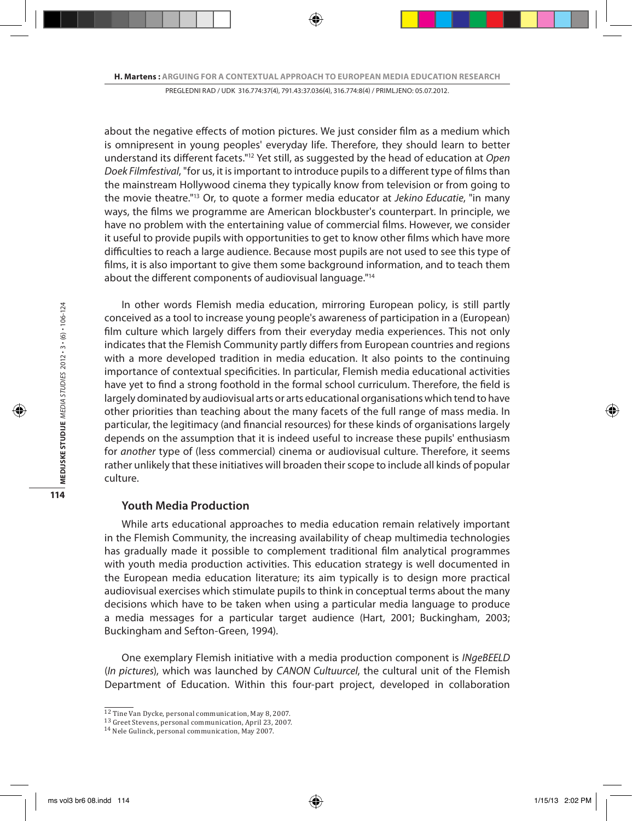about the negative effects of motion pictures. We just consider film as a medium which is omnipresent in young peoples' everyday life. Therefore, they should learn to better understand its different facets."12 Yet still, as suggested by the head of education at *Open Doek Filmfestival*, "for us, it is important to introduce pupils to a different type of films than the mainstream Hollywood cinema they typically know from television or from going to the movie theatre."13 Or, to quote a former media educator at *Jekino Educatie*, "in many ways, the films we programme are American blockbuster's counterpart. In principle, we have no problem with the entertaining value of commercial films. However, we consider it useful to provide pupils with opportunities to get to know other films which have more difficulties to reach a large audience. Because most pupils are not used to see this type of films, it is also important to give them some background information, and to teach them about the different components of audiovisual language."14

In other words Flemish media education, mirroring European policy, is still partly conceived as a tool to increase young people's awareness of participation in a (European) film culture which largely differs from their everyday media experiences. This not only indicates that the Flemish Community partly differs from European countries and regions with a more developed tradition in media education. It also points to the continuing importance of contextual specificities. In particular, Flemish media educational activities have yet to find a strong foothold in the formal school curriculum. Therefore, the field is largely dominated by audiovisual arts or arts educational organisations which tend to have other priorities than teaching about the many facets of the full range of mass media. In particular, the legitimacy (and financial resources) for these kinds of organisations largely depends on the assumption that it is indeed useful to increase these pupils' enthusiasm for *another* type of (less commercial) cinema or audiovisual culture. Therefore, it seems rather unlikely that these initiatives will broaden their scope to include all kinds of popular culture.

#### **Youth Media Production**

While arts educational approaches to media education remain relatively important in the Flemish Community, the increasing availability of cheap multimedia technologies has gradually made it possible to complement traditional film analytical programmes with youth media production activities. This education strategy is well documented in the European media education literature; its aim typically is to design more practical audiovisual exercises which stimulate pupils to think in conceptual terms about the many decisions which have to be taken when using a particular media language to produce a media messages for a particular target audience (Hart, 2001; Buckingham, 2003; Buckingham and Sefton-Green, 1994).

One exemplary Flemish initiative with a media production component is *INgeBEELD*  (*In pictures*), which was launched by *CANON Cultuurcel*, the cultural unit of the Flemish Department of Education. Within this four-part project, developed in collaboration

<sup>&</sup>lt;sup>12</sup> Tine Van Dycke, personal communication, May 8, 2007.<br><sup>13</sup> Greet Stevens, personal communication, April 23, 2007.<br><sup>14</sup> Nele Gulinck, personal communication, May 2007.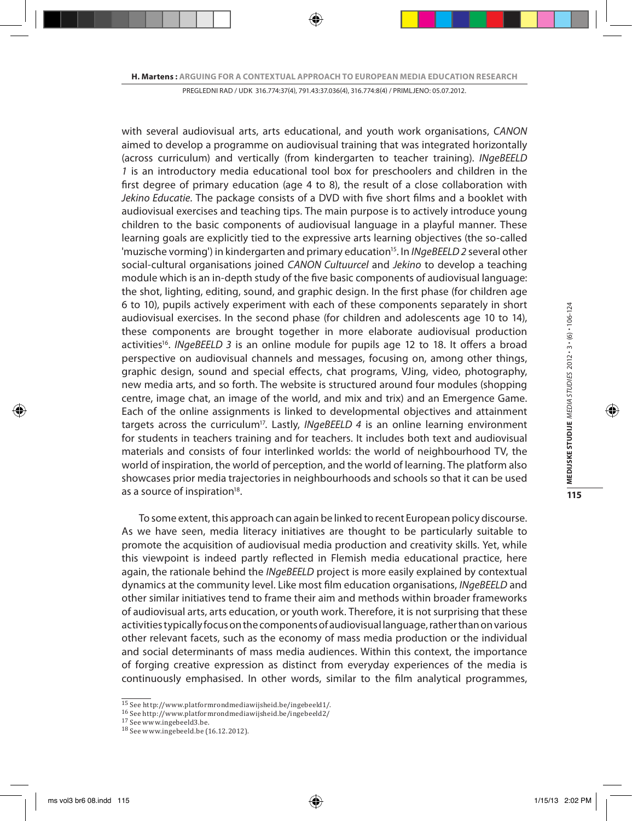with several audiovisual arts, arts educational, and youth work organisations, *CANON* aimed to develop a programme on audiovisual training that was integrated horizontally (across curriculum) and vertically (from kindergarten to teacher training). *INgeBEELD 1* is an introductory media educational tool box for preschoolers and children in the first degree of primary education (age 4 to 8), the result of a close collaboration with *Jekino Educatie*. The package consists of a DVD with five short films and a booklet with audiovisual exercises and teaching tips. The main purpose is to actively introduce young children to the basic components of audiovisual language in a playful manner. These learning goals are explicitly tied to the expressive arts learning objectives (the so-called 'muzische vorming') in kindergarten and primary education15. In *INgeBEELD 2* several other social-cultural organisations joined *CANON Cultuurcel* and *Jekino* to develop a teaching module which is an in-depth study of the five basic components of audiovisual language: the shot, lighting, editing, sound, and graphic design. In the first phase (for children age 6 to 10), pupils actively experiment with each of these components separately in short audiovisual exercises. In the second phase (for children and adolescents age 10 to 14), these components are brought together in more elaborate audiovisual production activities<sup>16</sup>. *INgeBEELD 3* is an online module for pupils age 12 to 18. It offers a broad perspective on audiovisual channels and messages, focusing on, among other things, graphic design, sound and special effects, chat programs, VJing, video, photography, new media arts, and so forth. The website is structured around four modules (shopping centre, image chat, an image of the world, and mix and trix) and an Emergence Game. Each of the online assignments is linked to developmental objectives and attainment targets across the curriculum<sup>17</sup>. Lastly, *INgeBEELD 4* is an online learning environment for students in teachers training and for teachers. It includes both text and audiovisual materials and consists of four interlinked worlds: the world of neighbourhood TV, the world of inspiration, the world of perception, and the world of learning. The platform also showcases prior media trajectories in neighbourhoods and schools so that it can be used as a source of inspiration<sup>18</sup>.

To some extent, this approach can again be linked to recent European policy discourse. As we have seen, media literacy initiatives are thought to be particularly suitable to promote the acquisition of audiovisual media production and creativity skills. Yet, while this viewpoint is indeed partly reflected in Flemish media educational practice, here again, the rationale behind the *INgeBEELD* project is more easily explained by contextual dynamics at the community level. Like most film education organisations, *INgeBEELD* and other similar initiatives tend to frame their aim and methods within broader frameworks of audiovisual arts, arts education, or youth work. Therefore, it is not surprising that these activities typically focus on the components of audiovisual language, rather than on various other relevant facets, such as the economy of mass media production or the individual and social determinants of mass media audiences. Within this context, the importance of forging creative expression as distinct from everyday experiences of the media is continuously emphasised. In other words, similar to the film analytical programmes,

<sup>&</sup>lt;sup>15</sup> See http://www.platformrondmediawijsheid.be/ingebeeld1/.<br><sup>16</sup> See http://www.platformrondmediawijsheid.be/ingebeeld2/<br><sup>17</sup> See www.ingebeeld.be (16.12.2012).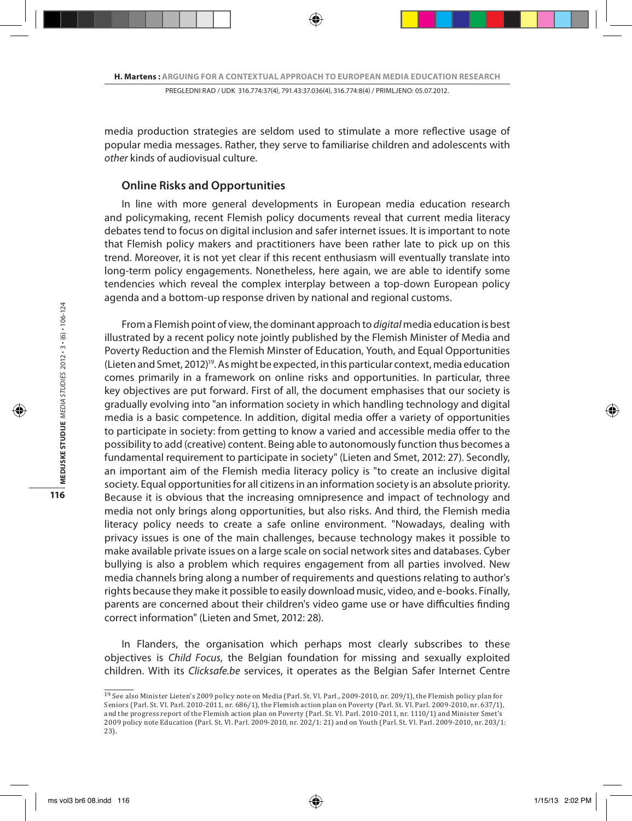media production strategies are seldom used to stimulate a more reflective usage of popular media messages. Rather, they serve to familiarise children and adolescents with *other* kinds of audiovisual culture.

#### **Online Risks and Opportunities**

In line with more general developments in European media education research and policymaking, recent Flemish policy documents reveal that current media literacy debates tend to focus on digital inclusion and safer internet issues. It is important to note that Flemish policy makers and practitioners have been rather late to pick up on this trend. Moreover, it is not yet clear if this recent enthusiasm will eventually translate into long-term policy engagements. Nonetheless, here again, we are able to identify some tendencies which reveal the complex interplay between a top-down European policy agenda and a bottom-up response driven by national and regional customs.

From a Flemish point of view, the dominant approach to *digital* media education is best illustrated by a recent policy note jointly published by the Flemish Minister of Media and Poverty Reduction and the Flemish Minster of Education, Youth, and Equal Opportunities (Lieten and Smet, 2012)19. As might be expected, in this particular context, media education comes primarily in a framework on online risks and opportunities. In particular, three key objectives are put forward. First of all, the document emphasises that our society is gradually evolving into "an information society in which handling technology and digital media is a basic competence. In addition, digital media offer a variety of opportunities to participate in society: from getting to know a varied and accessible media offer to the possibility to add (creative) content. Being able to autonomously function thus becomes a fundamental requirement to participate in society" (Lieten and Smet, 2012: 27). Secondly, an important aim of the Flemish media literacy policy is "to create an inclusive digital society. Equal opportunities for all citizens in an information society is an absolute priority. Because it is obvious that the increasing omnipresence and impact of technology and media not only brings along opportunities, but also risks. And third, the Flemish media literacy policy needs to create a safe online environment. "Nowadays, dealing with privacy issues is one of the main challenges, because technology makes it possible to make available private issues on a large scale on social network sites and databases. Cyber bullying is also a problem which requires engagement from all parties involved. New media channels bring along a number of requirements and questions relating to author's rights because they make it possible to easily download music, video, and e-books. Finally, parents are concerned about their children's video game use or have difficulties finding correct information" (Lieten and Smet, 2012: 28).

In Flanders, the organisation which perhaps most clearly subscribes to these objectives is *Child Focus*, the Belgian foundation for missing and sexually exploited children. With its *Clicksafe.be* services, it operates as the Belgian Safer Internet Centre

<sup>19</sup> See also Minister Lieten's 2009 policy note on Media (Parl. St. Vl. Parl., 2009-2010, nr. 209/1), the Flemish policy plan for Seniors (Parl. St. Vl. Parl. 2010-2011, nr. 686/1), the Flemish action plan on Poverty (Parl. St. Vl. Parl. 2009-2010, nr. 637/1), and the progress report of the Flemish action plan on Poverty (Parl. St. Vl. Parl. 2010-2011, nr. 1110/1) and Minister Smet's 2009 policy note Education (Parl. St. Vl. Parl. 2009-2010, nr. 202/1: 21) and on Youth (Parl. St. Vl. Parl. 2009-2010, nr. 203/1: 23).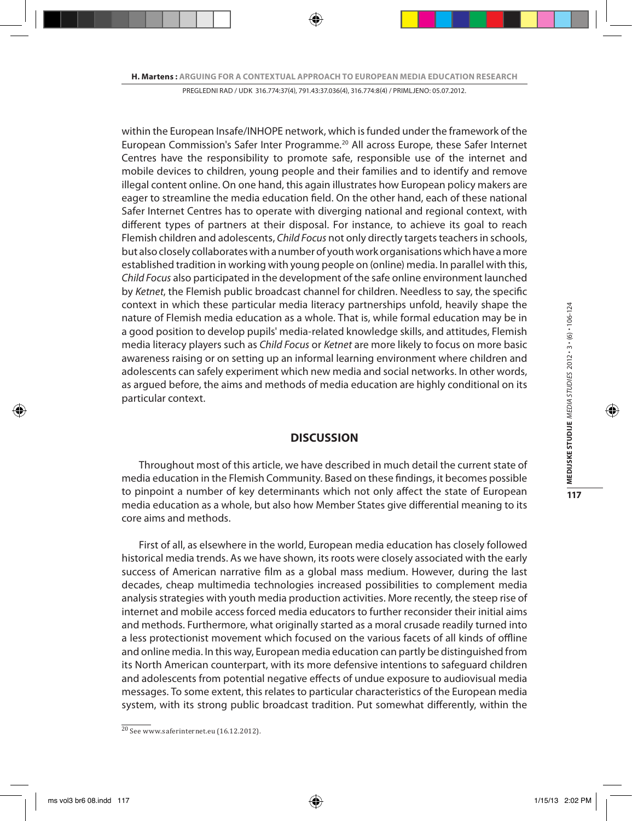within the European Insafe/INHOPE network, which is funded under the framework of the European Commission's Safer Inter Programme.20 All across Europe, these Safer Internet Centres have the responsibility to promote safe, responsible use of the internet and mobile devices to children, young people and their families and to identify and remove illegal content online. On one hand, this again illustrates how European policy makers are eager to streamline the media education field. On the other hand, each of these national Safer Internet Centres has to operate with diverging national and regional context, with different types of partners at their disposal. For instance, to achieve its goal to reach Flemish children and adolescents, *Child Focus* not only directly targets teachers in schools, but also closely collaborates with a number of youth work organisations which have a more established tradition in working with young people on (online) media. In parallel with this, *Child Focus* also participated in the development of the safe online environment launched by *Ketnet*, the Flemish public broadcast channel for children. Needless to say, the specific context in which these particular media literacy partnerships unfold, heavily shape the nature of Flemish media education as a whole. That is, while formal education may be in a good position to develop pupils' media-related knowledge skills, and attitudes, Flemish media literacy players such as *Child Focus* or *Ketnet* are more likely to focus on more basic awareness raising or on setting up an informal learning environment where children and adolescents can safely experiment which new media and social networks. In other words, as argued before, the aims and methods of media education are highly conditional on its particular context.

## **DISCUSSION**

Throughout most of this article, we have described in much detail the current state of media education in the Flemish Community. Based on these findings, it becomes possible to pinpoint a number of key determinants which not only affect the state of European media education as a whole, but also how Member States give differential meaning to its core aims and methods.

First of all, as elsewhere in the world, European media education has closely followed historical media trends. As we have shown, its roots were closely associated with the early success of American narrative film as a global mass medium. However, during the last decades, cheap multimedia technologies increased possibilities to complement media analysis strategies with youth media production activities. More recently, the steep rise of internet and mobile access forced media educators to further reconsider their initial aims and methods. Furthermore, what originally started as a moral crusade readily turned into a less protectionist movement which focused on the various facets of all kinds of offline and online media. In this way, European media education can partly be distinguished from its North American counterpart, with its more defensive intentions to safeguard children and adolescents from potential negative effects of undue exposure to audiovisual media messages. To some extent, this relates to particular characteristics of the European media system, with its strong public broadcast tradition. Put somewhat differently, within the

<sup>20</sup> See www.saferinternet.eu (16.12.2012).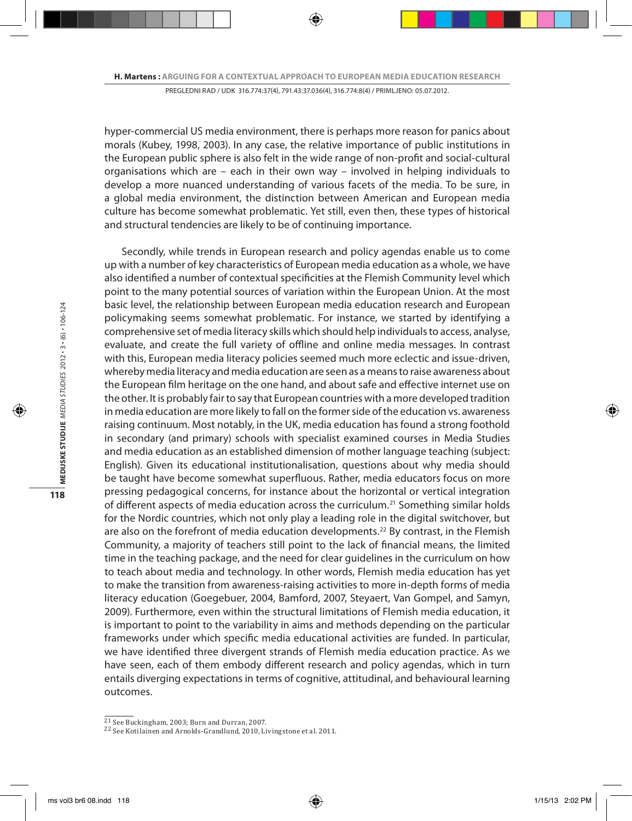hyper-commercial US media environment, there is perhaps more reason for panics about morals (Kubey, 1998, 2003). In any case, the relative importance of public institutions in the European public sphere is also felt in the wide range of non-profit and social-cultural organisations which are – each in their own way – involved in helping individuals to develop a more nuanced understanding of various facets of the media. To be sure, in a global media environment, the distinction between American and European media culture has become somewhat problematic. Yet still, even then, these types of historical and structural tendencies are likely to be of continuing importance.

Secondly, while trends in European research and policy agendas enable us to come up with a number of key characteristics of European media education as a whole, we have also identified a number of contextual specificities at the Flemish Community level which point to the many potential sources of variation within the European Union. At the most basic level, the relationship between European media education research and European policymaking seems somewhat problematic. For instance, we started by identifying a comprehensive set of media literacy skills which should help individuals to access, analyse, evaluate, and create the full variety of offline and online media messages. In contrast with this, European media literacy policies seemed much more eclectic and issue-driven, whereby media literacy and media education are seen as a means to raise awareness about the European film heritage on the one hand, and about safe and effective internet use on the other. It is probably fair to say that European countries with a more developed tradition in media education are more likely to fall on the former side of the education vs. awareness raising continuum. Most notably, in the UK, media education has found a strong foothold in secondary (and primary) schools with specialist examined courses in Media Studies and media education as an established dimension of mother language teaching (subject: English). Given its educational institutionalisation, questions about why media should be taught have become somewhat superfluous. Rather, media educators focus on more pressing pedagogical concerns, for instance about the horizontal or vertical integration of different aspects of media education across the curriculum.<sup>21</sup> Something similar holds for the Nordic countries, which not only play a leading role in the digital switchover, but are also on the forefront of media education developments.<sup>22</sup> By contrast, in the Flemish Community, a majority of teachers still point to the lack of financial means, the limited time in the teaching package, and the need for clear guidelines in the curriculum on how to teach about media and technology. In other words, Flemish media education has yet to make the transition from awareness-raising activities to more in-depth forms of media literacy education (Goegebuer, 2004, Bamford, 2007, Steyaert, Van Gompel, and Samyn, 2009). Furthermore, even within the structural limitations of Flemish media education, it is important to point to the variability in aims and methods depending on the particular frameworks under which specific media educational activities are funded. In particular, we have identified three divergent strands of Flemish media education practice. As we have seen, each of them embody different research and policy agendas, which in turn entails diverging expectations in terms of cognitive, attitudinal, and behavioural learning outcomes.

 $\frac{21}{21}$  See Buckingham, 2003; Burn and Durran, 2007.<br><sup>22</sup> See Kotilainen and Arnolds-Grandlund, 2010, Livingstone et al. 2011.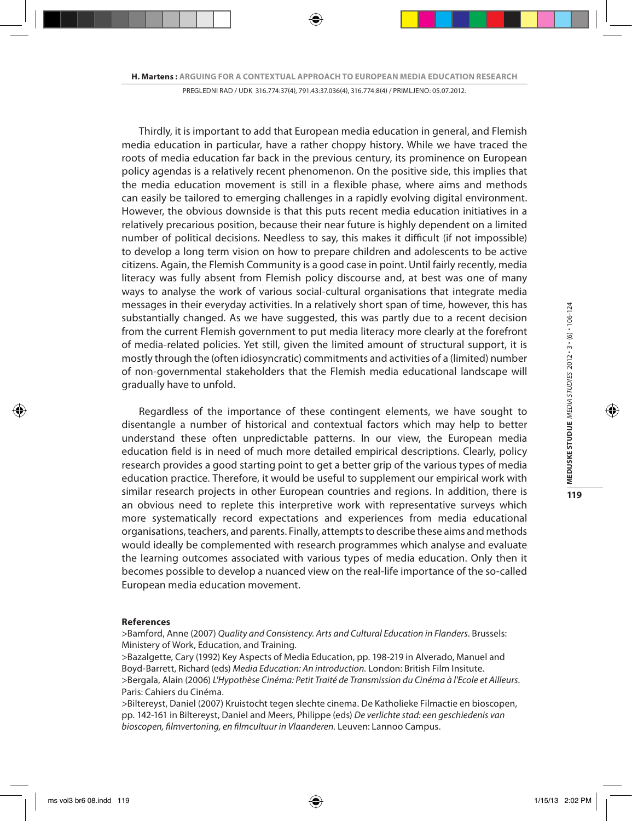Thirdly, it is important to add that European media education in general, and Flemish media education in particular, have a rather choppy history. While we have traced the roots of media education far back in the previous century, its prominence on European policy agendas is a relatively recent phenomenon. On the positive side, this implies that the media education movement is still in a flexible phase, where aims and methods can easily be tailored to emerging challenges in a rapidly evolving digital environment. However, the obvious downside is that this puts recent media education initiatives in a relatively precarious position, because their near future is highly dependent on a limited number of political decisions. Needless to say, this makes it difficult (if not impossible) to develop a long term vision on how to prepare children and adolescents to be active citizens. Again, the Flemish Community is a good case in point. Until fairly recently, media literacy was fully absent from Flemish policy discourse and, at best was one of many ways to analyse the work of various social-cultural organisations that integrate media messages in their everyday activities. In a relatively short span of time, however, this has substantially changed. As we have suggested, this was partly due to a recent decision from the current Flemish government to put media literacy more clearly at the forefront of media-related policies. Yet still, given the limited amount of structural support, it is mostly through the (often idiosyncratic) commitments and activities of a (limited) number of non-governmental stakeholders that the Flemish media educational landscape will gradually have to unfold.

Regardless of the importance of these contingent elements, we have sought to disentangle a number of historical and contextual factors which may help to better understand these often unpredictable patterns. In our view, the European media education field is in need of much more detailed empirical descriptions. Clearly, policy research provides a good starting point to get a better grip of the various types of media education practice. Therefore, it would be useful to supplement our empirical work with similar research projects in other European countries and regions. In addition, there is an obvious need to replete this interpretive work with representative surveys which more systematically record expectations and experiences from media educational organisations, teachers, and parents. Finally, attempts to describe these aims and methods would ideally be complemented with research programmes which analyse and evaluate the learning outcomes associated with various types of media education. Only then it becomes possible to develop a nuanced view on the real-life importance of the so-called European media education movement.

#### **References**

>Bamford, Anne (2007) *Quality and Consistency. Arts and Cultural Education in Flanders*. Brussels: Ministery of Work, Education, and Training.

>Bazalgette, Cary (1992) Key Aspects of Media Education, pp. 198-219 in Alverado, Manuel and Boyd-Barrett, Richard (eds) *Media Education: An introduction.* London: British Film Insitute. >Bergala, Alain (2006) *L'Hypothèse Cinéma: Petit Traité de Transmission du Cinéma à l'Ecole et Ailleurs.*  Paris: Cahiers du Cinéma.

>Biltereyst, Daniel (2007) Kruistocht tegen slechte cinema. De Katholieke Filmactie en bioscopen, pp. 142-161 in Biltereyst, Daniel and Meers, Philippe (eds) *De verlichte stad: een geschiedenis van bioscopen, filmvertoning, en filmcultuur in Vlaanderen.* Leuven: Lannoo Campus.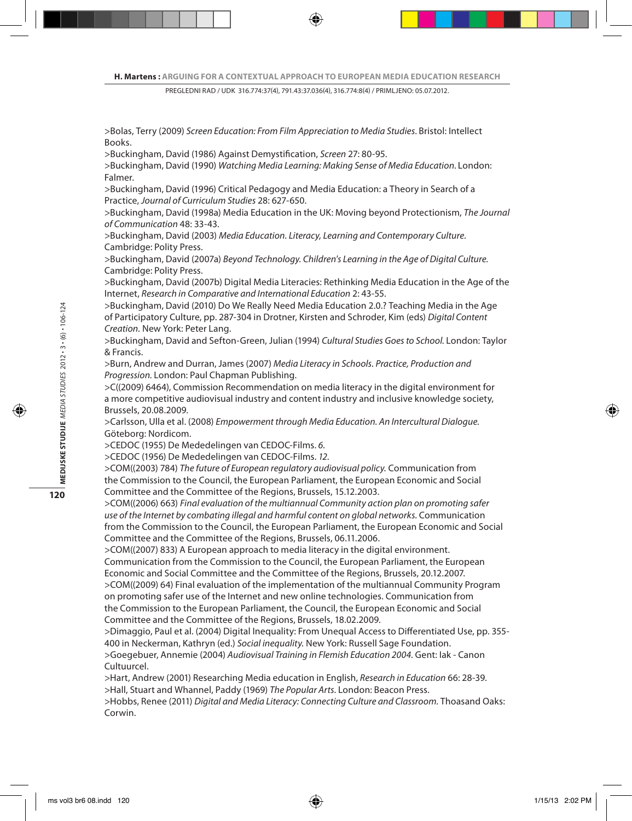>Bolas, Terry (2009) *Screen Education: From Film Appreciation to Media Studies*. Bristol: Intellect Books.

>Buckingham, David (1986) Against Demystification, *Screen* 27: 80-95.

>Buckingham, David (1990) *Watching Media Learning: Making Sense of Media Education*. London: Falmer.

>Buckingham, David (1996) Critical Pedagogy and Media Education: a Theory in Search of a Practice, *Journal of Curriculum Studies* 28: 627-650.

>Buckingham, David (1998a) Media Education in the UK: Moving beyond Protectionism, *The Journal of Communication* 48: 33-43.

>Buckingham, David (2003) *Media Education. Literacy, Learning and Contemporary Culture*. Cambridge: Polity Press.

>Buckingham, David (2007a) *Beyond Technology. Children's Learning in the Age of Digital Culture.*  Cambridge: Polity Press.

>Buckingham, David (2007b) Digital Media Literacies: Rethinking Media Education in the Age of the Internet, *Research in Comparative and International Education* 2: 43-55.

>Buckingham, David (2010) Do We Really Need Media Education 2.0.? Teaching Media in the Age of Participatory Culture, pp. 287-304 in Drotner, Kirsten and Schroder, Kim (eds) *Digital Content Creation.* New York: Peter Lang.

>Buckingham, David and Sefton-Green, Julian (1994) *Cultural Studies Goes to School.* London: Taylor & Francis.

>Burn, Andrew and Durran, James (2007) *Media Literacy in Schools. Practice, Production and Progression.* London: Paul Chapman Publishing.

>C((2009) 6464), Commission Recommendation on media literacy in the digital environment for a more competitive audiovisual industry and content industry and inclusive knowledge society, Brussels, 20.08.2009.

>Carlsson, Ulla et al. (2008) *Empowerment through Media Education. An Intercultural Dialogue.*  Göteborg: Nordicom.

>CEDOC (1955) De Mededelingen van CEDOC-Films. *6*.

>CEDOC (1956) De Mededelingen van CEDOC-Films. *12*.

>COM((2003) 784) *The future of European regulatory audiovisual policy.* Communication from the Commission to the Council, the European Parliament, the European Economic and Social Committee and the Committee of the Regions, Brussels, 15.12.2003.

>COM((2006) 663) *Final evaluation of the multiannual Community action plan on promoting safer*  use of the Internet by combating illegal and harmful content on global networks. Communication from the Commission to the Council, the European Parliament, the European Economic and Social Committee and the Committee of the Regions, Brussels, 06.11.2006.

>COM((2007) 833) A European approach to media literacy in the digital environment. Communication from the Commission to the Council, the European Parliament, the European Economic and Social Committee and the Committee of the Regions, Brussels, 20.12.2007.

>COM((2009) 64) Final evaluation of the implementation of the multiannual Community Program on promoting safer use of the Internet and new online technologies. Communication from the Commission to the European Parliament, the Council, the European Economic and Social Committee and the Committee of the Regions, Brussels, 18.02.2009.

>Dimaggio, Paul et al. (2004) Digital Inequality: From Unequal Access to Differentiated Use, pp. 355- 400 in Neckerman, Kathryn (ed.) *Social inequality.* New York: Russell Sage Foundation.

>Goegebuer, Annemie (2004) *Audiovisual Training in Flemish Education 2004.* Gent: Iak - Canon Cultuurcel.

>Hart, Andrew (2001) Researching Media education in English, *Research in Education* 66: 28-39. >Hall, Stuart and Whannel, Paddy (1969) *The Popular Arts.* London: Beacon Press.

>Hobbs, Renee (2011) *Digital and Media Literacy: Connecting Culture and Classroom.* Thoasand Oaks: Corwin.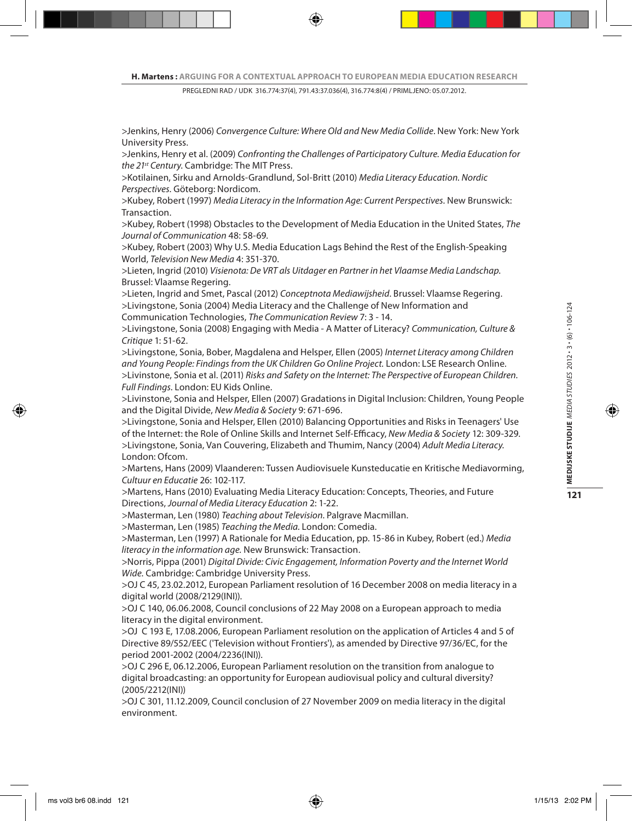>Jenkins, Henry (2006) *Convergence Culture: Where Old and New Media Collide*. New York: New York University Press.

>Jenkins, Henry et al. (2009) *Confronting the Challenges of Participatory Culture. Media Education for the 21st Century*. Cambridge: The MIT Press.

>Kotilainen, Sirku and Arnolds-Grandlund, Sol-Britt (2010) *Media Literacy Education. Nordic Perspectives.* Göteborg: Nordicom.

>Kubey, Robert (1997) *Media Literacy in the Information Age: Current Perspectives.* New Brunswick: Transaction.

>Kubey, Robert (1998) Obstacles to the Development of Media Education in the United States, *The Journal of Communication* 48: 58-69.

>Kubey, Robert (2003) Why U.S. Media Education Lags Behind the Rest of the English-Speaking World, *Television New Media* 4: 351-370.

>Lieten, Ingrid (2010) *Visienota: De VRT als Uitdager en Partner in het Vlaamse Media Landschap*. Brussel: Vlaamse Regering.

>Lieten, Ingrid and Smet, Pascal (2012) *Conceptnota Mediawijsheid*. Brussel: Vlaamse Regering. >Livingstone, Sonia (2004) Media Literacy and the Challenge of New Information and Communication Technologies, *The Communication Review* 7: 3 - 14.

>Livingstone, Sonia (2008) Engaging with Media - A Matter of Literacy? *Communication, Culture & Critique* 1: 51-62.

>Livingstone, Sonia, Bober, Magdalena and Helsper, Ellen (2005) *Internet Literacy among Children and Young People: Findings from the UK Children Go Online Project.* London: LSE Research Online. >Livinstone, Sonia et al. (2011) *Risks and Safety on the Internet: The Perspective of European Children. Full Findings.* London: EU Kids Online.

>Livinstone, Sonia and Helsper, Ellen (2007) Gradations in Digital Inclusion: Children, Young People and the Digital Divide, *New Media & Society* 9: 671-696.

>Livingstone, Sonia and Helsper, Ellen (2010) Balancing Opportunities and Risks in Teenagers' Use of the Internet: the Role of Online Skills and Internet Self-Efficacy, *New Media & Society* 12: 309-329. >Livingstone, Sonia, Van Couvering, Elizabeth and Thumim, Nancy (2004) *Adult Media Literacy.*  London: Ofcom.

>Martens, Hans (2009) Vlaanderen: Tussen Audiovisuele Kunsteducatie en Kritische Mediavorming, *Cultuur en Educatie* 26: 102-117.

>Martens, Hans (2010) Evaluating Media Literacy Education: Concepts, Theories, and Future Directions, *Journal of Media Literacy Education* 2: 1-22.

>Masterman, Len (1980) *Teaching about Television*. Palgrave Macmillan.

>Masterman, Len (1985) *Teaching the Media.* London: Comedia.

>Masterman, Len (1997) A Rationale for Media Education, pp. 15-86 in Kubey, Robert (ed.) *Media literacy in the information age.* New Brunswick: Transaction.

>Norris, Pippa (2001) *Digital Divide: Civic Engagement, Information Poverty and the Internet World Wide.* Cambridge: Cambridge University Press.

>OJ C 45, 23.02.2012, European Parliament resolution of 16 December 2008 on media literacy in a digital world (2008/2129(INI)).

>OJ C 140, 06.06.2008, Council conclusions of 22 May 2008 on a European approach to media literacy in the digital environment.

>OJ C 193 E, 17.08.2006, European Parliament resolution on the application of Articles 4 and 5 of Directive 89/552/EEC ('Television without Frontiers'), as amended by Directive 97/36/EC, for the period 2001-2002 (2004/2236(INI)).

>OJ C 296 E, 06.12.2006, European Parliament resolution on the transition from analogue to digital broadcasting: an opportunity for European audiovisual policy and cultural diversity? (2005/2212(INI))

>OJ C 301, 11.12.2009, Council conclusion of 27 November 2009 on media literacy in the digital environment.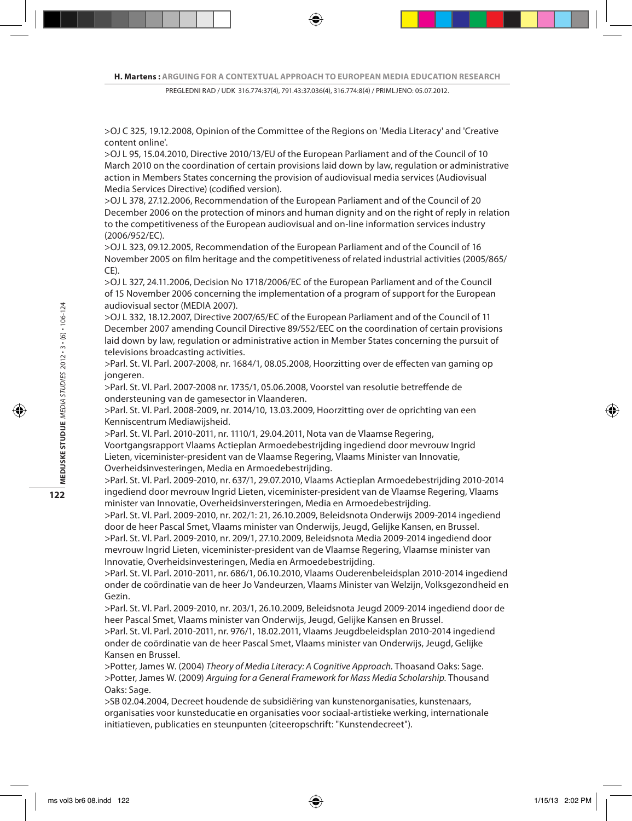>OJ C 325, 19.12.2008, Opinion of the Committee of the Regions on 'Media Literacy' and 'Creative content online'.

>OJ L 95, 15.04.2010, Directive 2010/13/EU of the European Parliament and of the Council of 10 March 2010 on the coordination of certain provisions laid down by law, regulation or administrative action in Members States concerning the provision of audiovisual media services (Audiovisual Media Services Directive) (codified version).

>OJ L 378, 27.12.2006, Recommendation of the European Parliament and of the Council of 20 December 2006 on the protection of minors and human dignity and on the right of reply in relation to the competitiveness of the European audiovisual and on-line information services industry (2006/952/EC).

>OJ L 323, 09.12.2005, Recommendation of the European Parliament and of the Council of 16 November 2005 on film heritage and the competitiveness of related industrial activities (2005/865/ CE).

>OJ L 327, 24.11.2006, Decision No 1718/2006/EC of the European Parliament and of the Council of 15 November 2006 concerning the implementation of a program of support for the European audiovisual sector (MEDIA 2007).

>OJ L 332, 18.12.2007, Directive 2007/65/EC of the European Parliament and of the Council of 11 December 2007 amending Council Directive 89/552/EEC on the coordination of certain provisions laid down by law, regulation or administrative action in Member States concerning the pursuit of televisions broadcasting activities.

>Parl. St. Vl. Parl. 2007-2008, nr. 1684/1, 08.05.2008, Hoorzitting over de effecten van gaming op jongeren.

>Parl. St. Vl. Parl. 2007-2008 nr. 1735/1, 05.06.2008, Voorstel van resolutie betreffende de ondersteuning van de gamesector in Vlaanderen.

>Parl. St. Vl. Parl. 2008-2009, nr. 2014/10, 13.03.2009, Hoorzitting over de oprichting van een Kenniscentrum Mediawijsheid.

>Parl. St. Vl. Parl. 2010-2011, nr. 1110/1, 29.04.2011, Nota van de Vlaamse Regering, Voortgangsrapport Vlaams Actieplan Armoedebestrijding ingediend door mevrouw Ingrid Lieten, viceminister-president van de Vlaamse Regering, Vlaams Minister van Innovatie, Overheidsinvesteringen, Media en Armoedebestrijding.

>Parl. St. Vl. Parl. 2009-2010, nr. 637/1, 29.07.2010, Vlaams Actieplan Armoedebestrijding 2010-2014 ingediend door mevrouw Ingrid Lieten, viceminister-president van de Vlaamse Regering, Vlaams minister van Innovatie, Overheidsinversteringen, Media en Armoedebestrijding.

>Parl. St. Vl. Parl. 2009-2010, nr. 202/1: 21, 26.10.2009, Beleidsnota Onderwijs 2009-2014 ingediend door de heer Pascal Smet, Vlaams minister van Onderwijs, Jeugd, Gelijke Kansen, en Brussel. >Parl. St. Vl. Parl. 2009-2010, nr. 209/1, 27.10.2009, Beleidsnota Media 2009-2014 ingediend door mevrouw Ingrid Lieten, viceminister-president van de Vlaamse Regering, Vlaamse minister van Innovatie, Overheidsinvesteringen, Media en Armoedebestrijding.

>Parl. St. Vl. Parl. 2010-2011, nr. 686/1, 06.10.2010, Vlaams Ouderenbeleidsplan 2010-2014 ingediend onder de coördinatie van de heer Jo Vandeurzen, Vlaams Minister van Welzijn, Volksgezondheid en Gezin.

>Parl. St. Vl. Parl. 2009-2010, nr. 203/1, 26.10.2009, Beleidsnota Jeugd 2009-2014 ingediend door de heer Pascal Smet, Vlaams minister van Onderwijs, Jeugd, Gelijke Kansen en Brussel.

>Parl. St. Vl. Parl. 2010-2011, nr. 976/1, 18.02.2011, Vlaams Jeugdbeleidsplan 2010-2014 ingediend onder de coördinatie van de heer Pascal Smet, Vlaams minister van Onderwijs, Jeugd, Gelijke Kansen en Brussel.

>Potter, James W. (2004) *Theory of Media Literacy: A Cognitive Approach.* Thoasand Oaks: Sage. >Potter, James W. (2009) *Arguing for a General Framework for Mass Media Scholarship.* Thousand Oaks: Sage.

>SB 02.04.2004, Decreet houdende de subsidiëring van kunstenorganisaties, kunstenaars, organisaties voor kunsteducatie en organisaties voor sociaal-artistieke werking, internationale initiatieven, publicaties en steunpunten (citeeropschrift: "Kunstendecreet").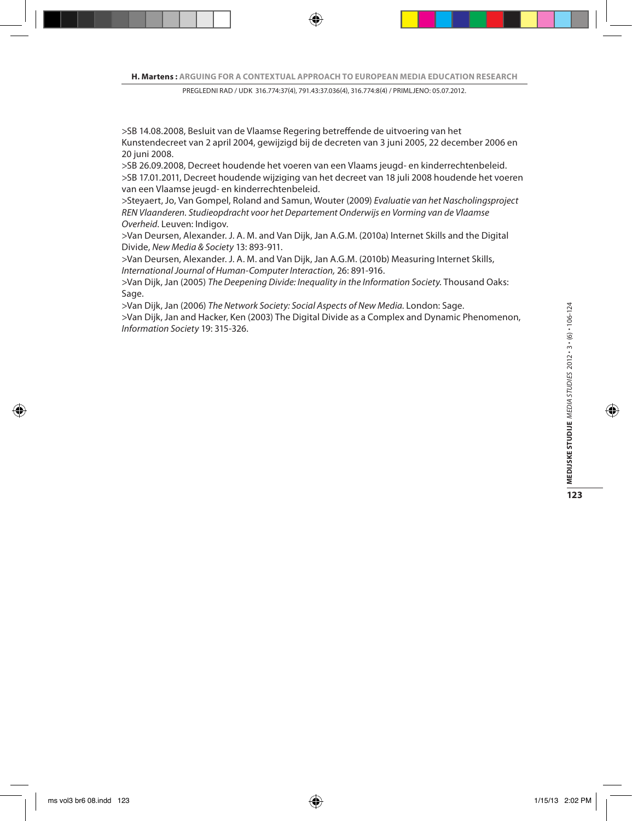>SB 14.08.2008, Besluit van de Vlaamse Regering betreffende de uitvoering van het Kunstendecreet van 2 april 2004, gewijzigd bij de decreten van 3 juni 2005, 22 december 2006 en 20 juni 2008.

>SB 26.09.2008, Decreet houdende het voeren van een Vlaams jeugd- en kinderrechtenbeleid. >SB 17.01.2011, Decreet houdende wijziging van het decreet van 18 juli 2008 houdende het voeren van een Vlaamse jeugd- en kinderrechtenbeleid.

>Steyaert, Jo, Van Gompel, Roland and Samun, Wouter (2009) *Evaluatie van het Nascholingsproject REN Vlaanderen. Studieopdracht voor het Departement Onderwijs en Vorming van de Vlaamse Overheid*. Leuven: Indigov.

>Van Deursen, Alexander. J. A. M. and Van Dijk, Jan A.G.M. (2010a) Internet Skills and the Digital Divide, *New Media & Society* 13: 893-911.

>Van Deursen, Alexander. J. A. M. and Van Dijk, Jan A.G.M. (2010b) Measuring Internet Skills, *International Journal of Human-Computer Interaction,* 26: 891-916.

>Van Dijk, Jan (2005) *The Deepening Divide: Inequality in the Information Society.* Thousand Oaks: Sage.

>Van Dijk, Jan (2006) *The Network Society: Social Aspects of New Media.* London: Sage.

>Van Dijk, Jan and Hacker, Ken (2003) The Digital Divide as a Complex and Dynamic Phenomenon, *Information Society* 19: 315-326.